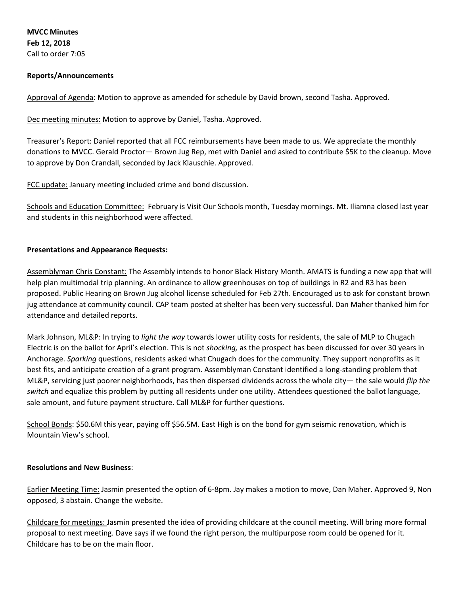**MVCC Minutes Feb 12, 2018** Call to order 7:05

## **Reports/Announcements**

Approval of Agenda: Motion to approve as amended for schedule by David brown, second Tasha. Approved.

Dec meeting minutes: Motion to approve by Daniel, Tasha. Approved.

Treasurer's Report: Daniel reported that all FCC reimbursements have been made to us. We appreciate the monthly donations to MVCC. Gerald Proctor— Brown Jug Rep, met with Daniel and asked to contribute \$5K to the cleanup. Move to approve by Don Crandall, seconded by Jack Klauschie. Approved.

FCC update: January meeting included crime and bond discussion.

Schools and Education Committee: February is Visit Our Schools month, Tuesday mornings. Mt. Iliamna closed last year and students in this neighborhood were affected.

#### **Presentations and Appearance Requests:**

Assemblyman Chris Constant: The Assembly intends to honor Black History Month. AMATS is funding a new app that will help plan multimodal trip planning. An ordinance to allow greenhouses on top of buildings in R2 and R3 has been proposed. Public Hearing on Brown Jug alcohol license scheduled for Feb 27th. Encouraged us to ask for constant brown jug attendance at community council. CAP team posted at shelter has been very successful. Dan Maher thanked him for attendance and detailed reports.

Mark Johnson, ML&P: In trying to *light the way* towards lower utility costs for residents, the sale of MLP to Chugach Electric is on the ballot for April's election. This is not *shocking,* as the prospect has been discussed for over 30 years in Anchorage. *Sparking* questions, residents asked what Chugach does for the community. They support nonprofits as it best fits, and anticipate creation of a grant program. Assemblyman Constant identified a long-standing problem that ML&P, servicing just poorer neighborhoods, has then dispersed dividends across the whole city— the sale would *flip the switch* and equalize this problem by putting all residents under one utility. Attendees questioned the ballot language, sale amount, and future payment structure. Call ML&P for further questions.

School Bonds: \$50.6M this year, paying off \$56.5M. East High is on the bond for gym seismic renovation, which is Mountain View's school.

#### **Resolutions and New Business**:

Earlier Meeting Time: Jasmin presented the option of 6-8pm. Jay makes a motion to move, Dan Maher. Approved 9, Non opposed, 3 abstain. Change the website.

Childcare for meetings: Jasmin presented the idea of providing childcare at the council meeting. Will bring more formal proposal to next meeting. Dave says if we found the right person, the multipurpose room could be opened for it. Childcare has to be on the main floor.